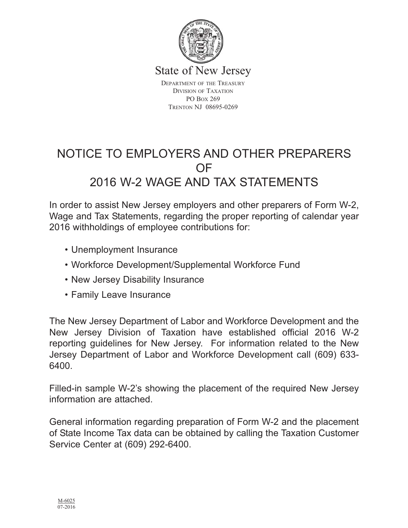

State of New Jersey

DEPARTMENT OF THE TREASURY DIVISION OF TAXATION PO BOX 269 TRENTON NJ 08695-0269

# NOTICE TO EMPLOYERS AND OTHER PREPARERS OF 2016 W-2 WAGE AND TAX STATEMENTS

In order to assist New Jersey employers and other preparers of Form W-2, Wage and Tax Statements, regarding the proper reporting of calendar year 2016 withholdings of employee contributions for:

- Unemployment Insurance
- Workforce Development/Supplemental Workforce Fund
- New Jersey Disability Insurance
- Family Leave Insurance

The New Jersey Department of Labor and Workforce Development and the New Jersey Division of Taxation have established official 2016 W-2 reporting guidelines for New Jersey. For information related to the New Jersey Department of Labor and Workforce Development call (609) 633- 6400.

Filled-in sample W-2's showing the placement of the required New Jersey information are attached.

General information regarding preparation of Form W-2 and the placement of State Income Tax data can be obtained by calling the Taxation Customer Service Center at (609) 292-6400.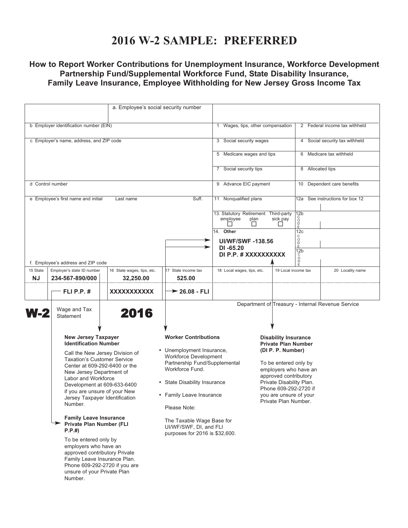### **2016 W-2 SAMPLE: PREFERRED**

### **How to Report Worker Contributions for Unemployment Insurance, Workforce Development Partnership Fund/Supplemental Workforce Fund, State Disability Insurance, Family Leave Insurance, Employee Withholding for New Jersey Gross Income Tax**

| a. Employee's social security number                                                                                                                                                                                                                                                                                                                                                                                                                                                                                                                                                                            |                                         |                                                                                                                                                                                                                                                                                                                   |                                                          |                                                                                                                                                                                                                                                                  |                                |                                                   |  |
|-----------------------------------------------------------------------------------------------------------------------------------------------------------------------------------------------------------------------------------------------------------------------------------------------------------------------------------------------------------------------------------------------------------------------------------------------------------------------------------------------------------------------------------------------------------------------------------------------------------------|-----------------------------------------|-------------------------------------------------------------------------------------------------------------------------------------------------------------------------------------------------------------------------------------------------------------------------------------------------------------------|----------------------------------------------------------|------------------------------------------------------------------------------------------------------------------------------------------------------------------------------------------------------------------------------------------------------------------|--------------------------------|---------------------------------------------------|--|
|                                                                                                                                                                                                                                                                                                                                                                                                                                                                                                                                                                                                                 |                                         |                                                                                                                                                                                                                                                                                                                   |                                                          |                                                                                                                                                                                                                                                                  |                                |                                                   |  |
| b Employer identification number (EIN)                                                                                                                                                                                                                                                                                                                                                                                                                                                                                                                                                                          |                                         |                                                                                                                                                                                                                                                                                                                   | Wages, tips, other compensation<br>1                     |                                                                                                                                                                                                                                                                  |                                | 2 Federal income tax withheld                     |  |
| c Employer's name, address, and ZIP code                                                                                                                                                                                                                                                                                                                                                                                                                                                                                                                                                                        |                                         |                                                                                                                                                                                                                                                                                                                   | 3 Social security wages                                  |                                                                                                                                                                                                                                                                  |                                | 4 Social security tax withheld                    |  |
|                                                                                                                                                                                                                                                                                                                                                                                                                                                                                                                                                                                                                 |                                         |                                                                                                                                                                                                                                                                                                                   | 5 Medicare wages and tips                                |                                                                                                                                                                                                                                                                  |                                | 6 Medicare tax withheld                           |  |
|                                                                                                                                                                                                                                                                                                                                                                                                                                                                                                                                                                                                                 |                                         |                                                                                                                                                                                                                                                                                                                   | 7 Social security tips                                   |                                                                                                                                                                                                                                                                  |                                | 8 Allocated tips                                  |  |
| d Control number                                                                                                                                                                                                                                                                                                                                                                                                                                                                                                                                                                                                |                                         |                                                                                                                                                                                                                                                                                                                   | 9 Advance EIC payment                                    |                                                                                                                                                                                                                                                                  |                                | 10 Dependent care benefits                        |  |
| e Employee's first name and initial                                                                                                                                                                                                                                                                                                                                                                                                                                                                                                                                                                             | Last name                               | Suff.                                                                                                                                                                                                                                                                                                             | 11 Nonqualified plans                                    |                                                                                                                                                                                                                                                                  | 12a                            | See instructions for box 12                       |  |
|                                                                                                                                                                                                                                                                                                                                                                                                                                                                                                                                                                                                                 |                                         |                                                                                                                                                                                                                                                                                                                   | 13. Statutory Retirement Third-party<br>employee<br>plan | sick pay                                                                                                                                                                                                                                                         | 12 <sub>b</sub><br>ŏ<br>D      |                                                   |  |
|                                                                                                                                                                                                                                                                                                                                                                                                                                                                                                                                                                                                                 |                                         | -                                                                                                                                                                                                                                                                                                                 | 14. Other<br><b>UI/WF/SWF-138.56</b>                     |                                                                                                                                                                                                                                                                  | 12c<br>C                       |                                                   |  |
|                                                                                                                                                                                                                                                                                                                                                                                                                                                                                                                                                                                                                 |                                         |                                                                                                                                                                                                                                                                                                                   | $DI - 65.20$                                             |                                                                                                                                                                                                                                                                  | O<br>D<br>E<br>12 <sub>b</sub> |                                                   |  |
| f. Employee's address and ZIP code                                                                                                                                                                                                                                                                                                                                                                                                                                                                                                                                                                              |                                         |                                                                                                                                                                                                                                                                                                                   | DI P.P. # XXXXXXXXXX                                     |                                                                                                                                                                                                                                                                  | Ó<br>Ď                         |                                                   |  |
| 15 State<br>Employer's state ID number<br>NJ<br>234-567-890/000                                                                                                                                                                                                                                                                                                                                                                                                                                                                                                                                                 | 16 State wages, tips, etc.<br>32,250.00 | 17 State income tax<br>525.00                                                                                                                                                                                                                                                                                     | 18 Local wages, tips, etc.                               |                                                                                                                                                                                                                                                                  | 19 Local income tax            | 20 Locality name                                  |  |
| <b>FLI P.P. #</b>                                                                                                                                                                                                                                                                                                                                                                                                                                                                                                                                                                                               | XXXXXXXXXXX                             | $\rightarrow$ 26.08 - FLI                                                                                                                                                                                                                                                                                         |                                                          |                                                                                                                                                                                                                                                                  |                                |                                                   |  |
| Wage and Tax<br>W-2<br><b>Statement</b>                                                                                                                                                                                                                                                                                                                                                                                                                                                                                                                                                                         | 2016                                    |                                                                                                                                                                                                                                                                                                                   |                                                          |                                                                                                                                                                                                                                                                  |                                | Department of Treasury - Internal Revenue Service |  |
| <b>New Jersey Taxpayer</b><br><b>Identification Number</b><br>Call the New Jersey Division of<br><b>Taxation's Customer Service</b><br>Center at 609-292-6400 or the<br>New Jersey Department of<br>Labor and Workforce<br>Development at 609-633-6400<br>if you are unsure of your New<br>Jersey Taxpayer Identification<br>Number.<br><b>Family Leave Insurance</b><br><b>Private Plan Number (FLI</b><br>P.P.#<br>To be entered only by<br>employers who have an<br>approved contributory Private<br>Family Leave Insurance Plan.<br>Phone 609-292-2720 if you are<br>unsure of your Private Plan<br>Number. |                                         | <b>Worker Contributions</b><br>• Unemployment Insurance,<br><b>Workforce Development</b><br>Partnership Fund/Supplemental<br>Workforce Fund.<br>• State Disability Insurance<br>• Family Leave Insurance<br>Please Note:<br>The Taxable Wage Base for<br>UI/WF/SWF, DI, and FLI<br>purposes for 2016 is \$32,600. |                                                          | <b>Disability Insurance</b><br><b>Private Plan Number</b><br>(DI P. P. Number)<br>To be entered only by<br>employers who have an<br>approved contributory<br>Private Disability Plan.<br>Phone 609-292-2720 if<br>you are unsure of your<br>Private Plan Number. |                                |                                                   |  |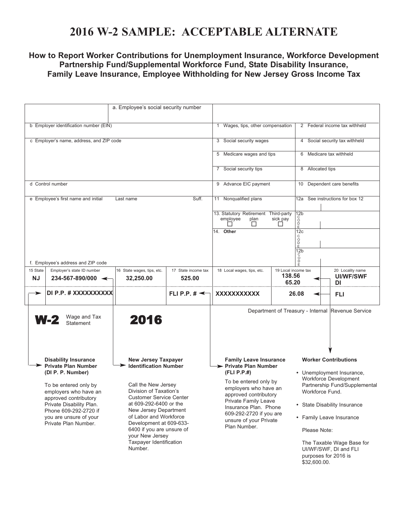## **2016 W-2 SAMPLE: ACCEPTABLE ALTERNATE**

### **How to Report Worker Contributions for Unemployment Insurance, Workforce Development Partnership Fund/Supplemental Workforce Fund, State Disability Insurance, Family Leave Insurance, Employee Withholding for New Jersey Gross Income Tax**

|                                                                                                                                                                                                                                                                                                                                                                                                                                                                                                                                                                                                                 | a. Employee's social security number    |                                                                                                                                                                                                                                                                        |                                                                          |                                                                                                                                                                                                                                                                                                                 |                                                   |  |  |
|-----------------------------------------------------------------------------------------------------------------------------------------------------------------------------------------------------------------------------------------------------------------------------------------------------------------------------------------------------------------------------------------------------------------------------------------------------------------------------------------------------------------------------------------------------------------------------------------------------------------|-----------------------------------------|------------------------------------------------------------------------------------------------------------------------------------------------------------------------------------------------------------------------------------------------------------------------|--------------------------------------------------------------------------|-----------------------------------------------------------------------------------------------------------------------------------------------------------------------------------------------------------------------------------------------------------------------------------------------------------------|---------------------------------------------------|--|--|
| b Employer identification number (EIN)                                                                                                                                                                                                                                                                                                                                                                                                                                                                                                                                                                          |                                         |                                                                                                                                                                                                                                                                        | 1 Wages, tips, other compensation                                        |                                                                                                                                                                                                                                                                                                                 | 2 Federal income tax withheld                     |  |  |
| c Employer's name, address, and ZIP code                                                                                                                                                                                                                                                                                                                                                                                                                                                                                                                                                                        |                                         |                                                                                                                                                                                                                                                                        | 3 Social security wages                                                  |                                                                                                                                                                                                                                                                                                                 | 4 Social security tax withheld                    |  |  |
|                                                                                                                                                                                                                                                                                                                                                                                                                                                                                                                                                                                                                 |                                         |                                                                                                                                                                                                                                                                        | 5 Medicare wages and tips                                                |                                                                                                                                                                                                                                                                                                                 | 6 Medicare tax withheld                           |  |  |
|                                                                                                                                                                                                                                                                                                                                                                                                                                                                                                                                                                                                                 | 7 Social security tips                  |                                                                                                                                                                                                                                                                        | 8 Allocated tips                                                         |                                                                                                                                                                                                                                                                                                                 |                                                   |  |  |
| d Control number                                                                                                                                                                                                                                                                                                                                                                                                                                                                                                                                                                                                |                                         |                                                                                                                                                                                                                                                                        | 9 Advance EIC payment                                                    |                                                                                                                                                                                                                                                                                                                 | 10 Dependent care benefits                        |  |  |
| e Employee's first name and initial                                                                                                                                                                                                                                                                                                                                                                                                                                                                                                                                                                             | Last name                               | Suff.                                                                                                                                                                                                                                                                  | 11 Nonqualified plans                                                    |                                                                                                                                                                                                                                                                                                                 | 12a See instructions for box 12                   |  |  |
|                                                                                                                                                                                                                                                                                                                                                                                                                                                                                                                                                                                                                 |                                         |                                                                                                                                                                                                                                                                        | 13. Statutory Retirement Third-party<br>employee<br>plan<br>$\mathsf{L}$ | 12 <sub>b</sub><br>င်<br>ဝ<br>sick pay<br>$\check{P}$<br>ΙI                                                                                                                                                                                                                                                     |                                                   |  |  |
|                                                                                                                                                                                                                                                                                                                                                                                                                                                                                                                                                                                                                 |                                         |                                                                                                                                                                                                                                                                        | 14. Other                                                                | 12c<br>C<br>D<br>D<br>E<br>12 <sub>b</sub>                                                                                                                                                                                                                                                                      |                                                   |  |  |
| f. Employee's address and ZIP code                                                                                                                                                                                                                                                                                                                                                                                                                                                                                                                                                                              |                                         |                                                                                                                                                                                                                                                                        |                                                                          | $\circ$                                                                                                                                                                                                                                                                                                         |                                                   |  |  |
| 15 State<br>Employer's state ID number<br><b>NJ</b><br>$234 - 567 - 890/000$ $\leftarrow$                                                                                                                                                                                                                                                                                                                                                                                                                                                                                                                       | 16 State wages, tips, etc.<br>32,250.00 | 17 State income tax<br>525.00                                                                                                                                                                                                                                          | 18 Local wages, tips, etc.<br>19 Local income tax<br>138.56<br>65.20     |                                                                                                                                                                                                                                                                                                                 | 20 Locality name<br><b>UI/WF/SWF</b><br>DI        |  |  |
| DI P.P. # XXXXXXXXXX                                                                                                                                                                                                                                                                                                                                                                                                                                                                                                                                                                                            |                                         | FLI P.P. $\sharp \preceq$                                                                                                                                                                                                                                              | XXXXXXXXXXX                                                              | 26.08                                                                                                                                                                                                                                                                                                           | FLI                                               |  |  |
| Wage and Tax<br><b>W-2</b><br>Statement                                                                                                                                                                                                                                                                                                                                                                                                                                                                                                                                                                         | 2016                                    |                                                                                                                                                                                                                                                                        |                                                                          |                                                                                                                                                                                                                                                                                                                 | Department of Treasury - Internal Revenue Service |  |  |
| <b>Disability Insurance</b><br><b>New Jersey Taxpayer</b><br><b>Private Plan Number</b><br><b>Identification Number</b><br>(DI P. P. Number)<br>Call the New Jersey<br>To be entered only by<br>Division of Taxation's<br>employers who have an<br><b>Customer Service Center</b><br>approved contributory<br>at 609-292-6400 or the<br>Private Disability Plan.<br>New Jersey Department<br>Phone 609-292-2720 if<br>of Labor and Workforce<br>you are unsure of your<br>Development at 609-633-<br>Private Plan Number.<br>6400 if you are unsure of<br>your New Jersey<br>Taxpayer Identification<br>Number. |                                         | <b>Family Leave Insurance</b><br>> Private Plan Number<br>(FLI P.P.#)<br>To be entered only by<br>employers who have an<br>approved contributory<br>Private Family Leave<br>Insurance Plan. Phone<br>609-292-2720 if you are<br>unsure of your Private<br>Plan Number. |                                                                          | <b>Worker Contributions</b><br>• Unemployment Insurance,<br>Workforce Development<br>Partnership Fund/Supplemental<br>Workforce Fund.<br>• State Disability Insurance<br>• Family Leave Insurance<br>Please Note:<br>The Taxable Wage Base for<br>UI/WF/SWF, DI and FLI<br>purposes for 2016 is<br>\$32,600.00. |                                                   |  |  |